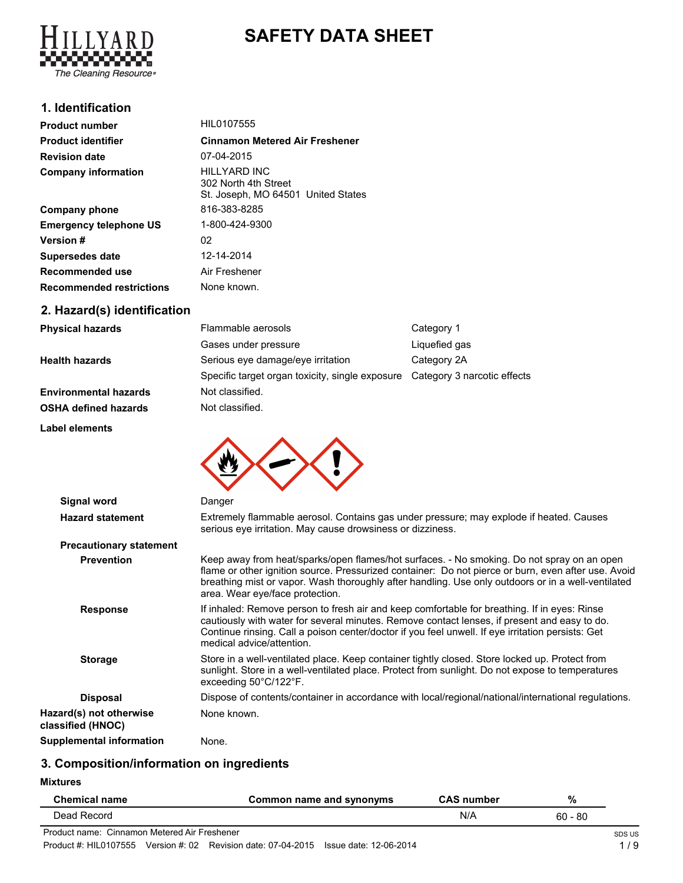

# **SAFETY DATA SHEET**

### **1. Identification**

| <b>Product number</b>           | HIL0107555                                                                 |  |
|---------------------------------|----------------------------------------------------------------------------|--|
| <b>Product identifier</b>       | <b>Cinnamon Metered Air Freshener</b>                                      |  |
| <b>Revision date</b>            | 07-04-2015                                                                 |  |
| <b>Company information</b>      | HILLYARD INC<br>302 North 4th Street<br>St. Joseph, MO 64501 United States |  |
| <b>Company phone</b>            | 816-383-8285                                                               |  |
| <b>Emergency telephone US</b>   | 1-800-424-9300                                                             |  |
| <b>Version</b> #                | 02                                                                         |  |
| Supersedes date                 | 12-14-2014                                                                 |  |
| Recommended use                 | Air Freshener                                                              |  |
| <b>Recommended restrictions</b> | None known.                                                                |  |
| 2. Hazard(s) identification     |                                                                            |  |

| <b>Physical hazards</b>      | Flammable aerosols                                                          | Category 1    |
|------------------------------|-----------------------------------------------------------------------------|---------------|
|                              | Gases under pressure                                                        | Liquefied gas |
| <b>Health hazards</b>        | Serious eye damage/eye irritation                                           | Category 2A   |
|                              | Specific target organ toxicity, single exposure Category 3 narcotic effects |               |
| <b>Environmental hazards</b> | Not classified.                                                             |               |
| <b>OSHA defined hazards</b>  | Not classified.                                                             |               |
| <b>Label elements</b>        |                                                                             |               |



| Signal word                                  | Danger                                                                                                                                                                                                                                                                                                                                     |
|----------------------------------------------|--------------------------------------------------------------------------------------------------------------------------------------------------------------------------------------------------------------------------------------------------------------------------------------------------------------------------------------------|
| <b>Hazard statement</b>                      | Extremely flammable aerosol. Contains gas under pressure; may explode if heated. Causes<br>serious eye irritation. May cause drowsiness or dizziness.                                                                                                                                                                                      |
| <b>Precautionary statement</b>               |                                                                                                                                                                                                                                                                                                                                            |
| <b>Prevention</b>                            | Keep away from heat/sparks/open flames/hot surfaces. - No smoking. Do not spray on an open<br>flame or other ignition source. Pressurized container: Do not pierce or burn, even after use. Avoid<br>breathing mist or vapor. Wash thoroughly after handling. Use only outdoors or in a well-ventilated<br>area. Wear eye/face protection. |
| <b>Response</b>                              | If inhaled: Remove person to fresh air and keep comfortable for breathing. If in eyes: Rinse<br>cautiously with water for several minutes. Remove contact lenses, if present and easy to do.<br>Continue rinsing. Call a poison center/doctor if you feel unwell. If eye irritation persists: Get<br>medical advice/attention.             |
| <b>Storage</b>                               | Store in a well-ventilated place. Keep container tightly closed. Store locked up. Protect from<br>sunlight. Store in a well-ventilated place. Protect from sunlight. Do not expose to temperatures<br>exceeding 50°C/122°F.                                                                                                                |
| <b>Disposal</b>                              | Dispose of contents/container in accordance with local/regional/national/international regulations.                                                                                                                                                                                                                                        |
| Hazard(s) not otherwise<br>classified (HNOC) | None known.                                                                                                                                                                                                                                                                                                                                |
| Supplemental information                     | None.                                                                                                                                                                                                                                                                                                                                      |

## **3. Composition/information on ingredients**

**Mixtures**

| <b>Chemical name</b>                         | Common name and synonyms | <b>CAS number</b> | %         |        |
|----------------------------------------------|--------------------------|-------------------|-----------|--------|
| Dead Record                                  |                          | N/A               | $60 - 80$ |        |
| Product name: Cinnamon Metered Air Freshener |                          |                   |           | SDS US |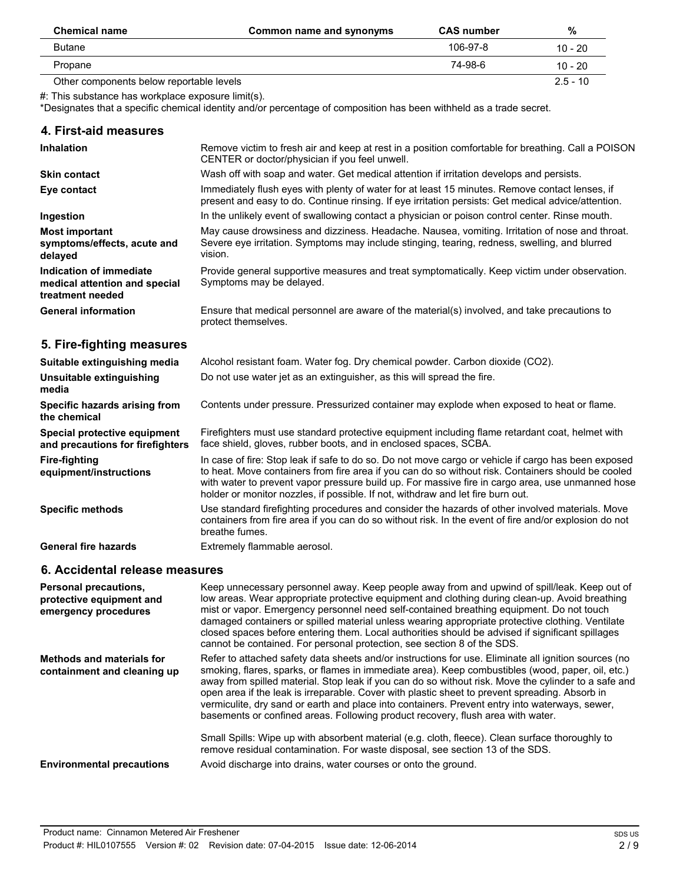| <b>Chemical name</b>                     | Common name and synonyms | <b>CAS number</b> | %          |
|------------------------------------------|--------------------------|-------------------|------------|
| Butane                                   |                          | 106-97-8          | $10 - 20$  |
| Propane                                  |                          | 74-98-6           | $10 - 20$  |
| Other components below reportable levels |                          |                   | $2.5 - 10$ |

#: This substance has workplace exposure limit(s).

\*Designates that a specific chemical identity and/or percentage of composition has been withheld as a trade secret.

| 4. First-aid measures                                                        |                                                                                                                                                                                                                                                                                                                                                                                                  |
|------------------------------------------------------------------------------|--------------------------------------------------------------------------------------------------------------------------------------------------------------------------------------------------------------------------------------------------------------------------------------------------------------------------------------------------------------------------------------------------|
| <b>Inhalation</b>                                                            | Remove victim to fresh air and keep at rest in a position comfortable for breathing. Call a POISON<br>CENTER or doctor/physician if you feel unwell.                                                                                                                                                                                                                                             |
| <b>Skin contact</b>                                                          | Wash off with soap and water. Get medical attention if irritation develops and persists.                                                                                                                                                                                                                                                                                                         |
| Eye contact                                                                  | Immediately flush eyes with plenty of water for at least 15 minutes. Remove contact lenses, if<br>present and easy to do. Continue rinsing. If eye irritation persists: Get medical advice/attention.                                                                                                                                                                                            |
| Ingestion                                                                    | In the unlikely event of swallowing contact a physician or poison control center. Rinse mouth.                                                                                                                                                                                                                                                                                                   |
| <b>Most important</b><br>symptoms/effects, acute and<br>delayed              | May cause drowsiness and dizziness. Headache. Nausea, vomiting. Irritation of nose and throat.<br>Severe eye irritation. Symptoms may include stinging, tearing, redness, swelling, and blurred<br>vision.                                                                                                                                                                                       |
| Indication of immediate<br>medical attention and special<br>treatment needed | Provide general supportive measures and treat symptomatically. Keep victim under observation.<br>Symptoms may be delayed.                                                                                                                                                                                                                                                                        |
| <b>General information</b>                                                   | Ensure that medical personnel are aware of the material(s) involved, and take precautions to<br>protect themselves.                                                                                                                                                                                                                                                                              |
| 5. Fire-fighting measures                                                    |                                                                                                                                                                                                                                                                                                                                                                                                  |
| Suitable extinguishing media                                                 | Alcohol resistant foam. Water fog. Dry chemical powder. Carbon dioxide (CO2).                                                                                                                                                                                                                                                                                                                    |
| Unsuitable extinguishing<br>media                                            | Do not use water jet as an extinguisher, as this will spread the fire.                                                                                                                                                                                                                                                                                                                           |
| Specific hazards arising from<br>the chemical                                | Contents under pressure. Pressurized container may explode when exposed to heat or flame.                                                                                                                                                                                                                                                                                                        |
| Special protective equipment<br>and precautions for firefighters             | Firefighters must use standard protective equipment including flame retardant coat, helmet with<br>face shield, gloves, rubber boots, and in enclosed spaces, SCBA.                                                                                                                                                                                                                              |
| <b>Fire-fighting</b><br>equipment/instructions                               | In case of fire: Stop leak if safe to do so. Do not move cargo or vehicle if cargo has been exposed<br>to heat. Move containers from fire area if you can do so without risk. Containers should be cooled<br>with water to prevent vapor pressure build up. For massive fire in cargo area, use unmanned hose<br>holder or monitor nozzles, if possible. If not, withdraw and let fire burn out. |
| <b>Specific methods</b>                                                      | Use standard firefighting procedures and consider the hazards of other involved materials. Move<br>containers from fire area if you can do so without risk. In the event of fire and/or explosion do not<br>breathe fumes.                                                                                                                                                                       |
| <b>General fire hazards</b>                                                  | Extremely flammable aerosol.                                                                                                                                                                                                                                                                                                                                                                     |
| 6. Accidental release measures                                               |                                                                                                                                                                                                                                                                                                                                                                                                  |
|                                                                              |                                                                                                                                                                                                                                                                                                                                                                                                  |

| <b>Personal precautions.</b><br>protective equipment and<br>emergency procedures | Keep unnecessary personnel away. Keep people away from and upwind of spill/leak. Keep out of<br>low areas. Wear appropriate protective equipment and clothing during clean-up. Avoid breathing<br>mist or vapor. Emergency personnel need self-contained breathing equipment. Do not touch<br>damaged containers or spilled material unless wearing appropriate protective clothing. Ventilate<br>closed spaces before entering them. Local authorities should be advised if significant spillages<br>cannot be contained. For personal protection, see section 8 of the SDS.                                                                                                                               |
|----------------------------------------------------------------------------------|-------------------------------------------------------------------------------------------------------------------------------------------------------------------------------------------------------------------------------------------------------------------------------------------------------------------------------------------------------------------------------------------------------------------------------------------------------------------------------------------------------------------------------------------------------------------------------------------------------------------------------------------------------------------------------------------------------------|
| <b>Methods and materials for</b><br>containment and cleaning up                  | Refer to attached safety data sheets and/or instructions for use. Eliminate all ignition sources (no<br>smoking, flares, sparks, or flames in immediate area). Keep combustibles (wood, paper, oil, etc.)<br>away from spilled material. Stop leak if you can do so without risk. Move the cylinder to a safe and<br>open area if the leak is irreparable. Cover with plastic sheet to prevent spreading. Absorb in<br>vermiculite, dry sand or earth and place into containers. Prevent entry into waterways, sewer,<br>basements or confined areas. Following product recovery, flush area with water.<br>Small Spills: Wipe up with absorbent material (e.g. cloth, fleece). Clean surface thoroughly to |
| <b>Environmental precautions</b>                                                 | remove residual contamination. For waste disposal, see section 13 of the SDS.<br>Avoid discharge into drains, water courses or onto the ground.                                                                                                                                                                                                                                                                                                                                                                                                                                                                                                                                                             |
|                                                                                  |                                                                                                                                                                                                                                                                                                                                                                                                                                                                                                                                                                                                                                                                                                             |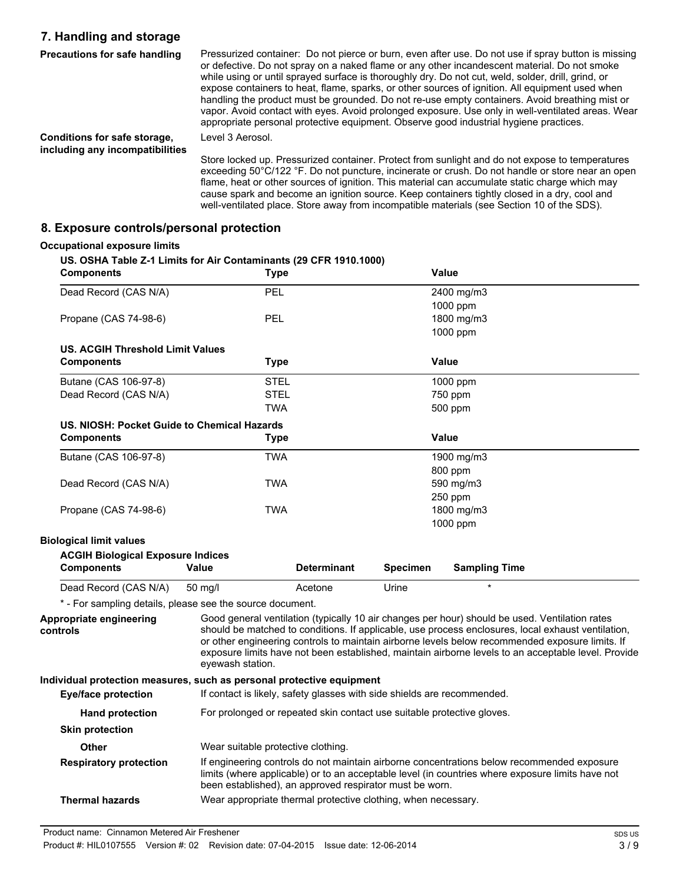## **7. Handling and storage**

| Precautions for safe handling                                   | Pressurized container: Do not pierce or burn, even after use. Do not use if spray button is missing<br>or defective. Do not spray on a naked flame or any other incandescent material. Do not smoke<br>while using or until sprayed surface is thoroughly dry. Do not cut, weld, solder, drill, grind, or<br>expose containers to heat, flame, sparks, or other sources of ignition. All equipment used when<br>handling the product must be grounded. Do not re-use empty containers. Avoid breathing mist or<br>vapor. Avoid contact with eyes. Avoid prolonged exposure. Use only in well-ventilated areas. Wear<br>appropriate personal protective equipment. Observe good industrial hygiene practices. |
|-----------------------------------------------------------------|--------------------------------------------------------------------------------------------------------------------------------------------------------------------------------------------------------------------------------------------------------------------------------------------------------------------------------------------------------------------------------------------------------------------------------------------------------------------------------------------------------------------------------------------------------------------------------------------------------------------------------------------------------------------------------------------------------------|
| Conditions for safe storage,<br>including any incompatibilities | Level 3 Aerosol.                                                                                                                                                                                                                                                                                                                                                                                                                                                                                                                                                                                                                                                                                             |
|                                                                 | Store locked up. Pressurized container. Protect from sunlight and do not expose to temperatures<br>exceeding 50°C/122 °F. Do not puncture, incinerate or crush. Do not handle or store near an open<br>flame, heat or other sources of ignition. This material can accumulate static charge which may                                                                                                                                                                                                                                                                                                                                                                                                        |

cause spark and become an ignition source. Keep containers tightly closed in a dry, cool and well-ventilated place. Store away from incompatible materials (see Section 10 of the SDS).

**8. Exposure controls/personal protection**

### **Occupational exposure limits US. OSHA Table Z-1 Limits for Air Contaminants (29 CFR 1910.1000) Components Type Value** Dead Record (CAS N/A) PEL 2400 mg/m3 1000 ppm Propane (CAS 74-98-6) PEL Propane (CAS 74-98-6) 1000 ppm **US. ACGIH Threshold Limit Values Components Type Value** Butane (CAS 106-97-8) STEL 59 STEL 1000 ppm Dead Record (CAS N/A) STEL STEL 2008 1750 ppm TWA 500 ppm **US. NIOSH: Pocket Guide to Chemical Hazards Components Type Value** Butane (CAS 106-97-8) TWA 1900 mg/m3 800 ppm Dead Record (CAS N/A) TWA TWA 590 mg/m3 250 ppm Propane (CAS 74-98-6) TWA 1800 mg/m3 1000 ppm **Biological limit values ACGIH Biological Exposure Indices Components Value Determinant Specimen Sampling Time** Dead Record (CAS N/A) 50 mg/l **Acetone** Urine \* - For sampling details, please see the source document. **Appropriate engineering controls** Good general ventilation (typically 10 air changes per hour) should be used. Ventilation rates should be matched to conditions. If applicable, use process enclosures, local exhaust ventilation, or other engineering controls to maintain airborne levels below recommended exposure limits. If exposure limits have not been established, maintain airborne levels to an acceptable level. Provide eyewash station. **Individual protection measures, such as personal protective equipment Eye/face protection** If contact is likely, safety glasses with side shields are recommended. **Hand protection** For prolonged or repeated skin contact use suitable protective gloves. **Skin protection Other** Wear suitable protective clothing. **Respiratory protection** If engineering controls do not maintain airborne concentrations below recommended exposure limits (where applicable) or to an acceptable level (in countries where exposure limits have not been established), an approved respirator must be worn. **Thermal hazards** Wear appropriate thermal protective clothing, when necessary.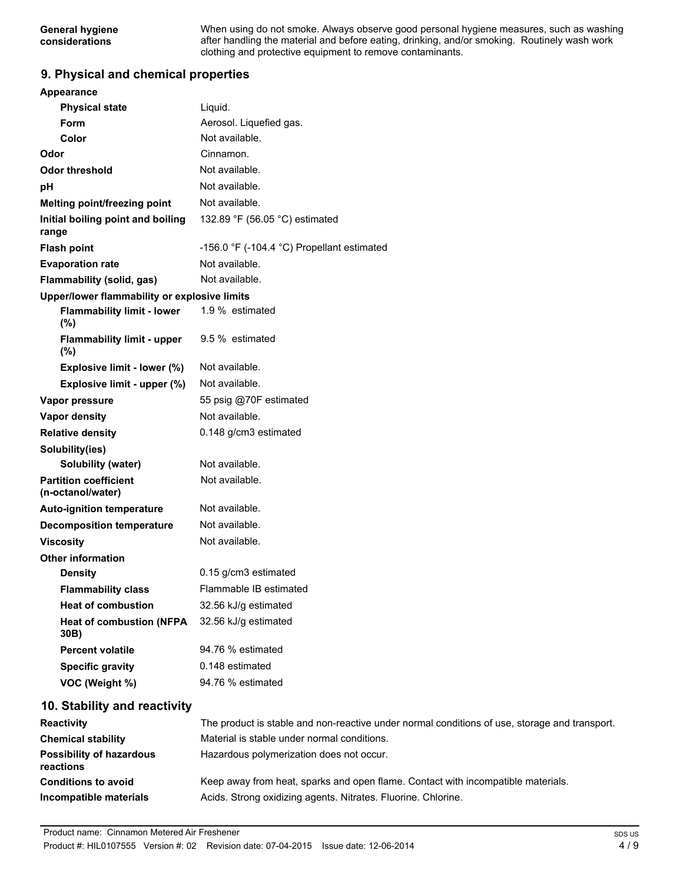When using do not smoke. Always observe good personal hygiene measures, such as washing after handling the material and before eating, drinking, and/or smoking. Routinely wash work clothing and protective equipment to remove contaminants.

### **9. Physical and chemical properties**

| Appearance                                        |                                                                                               |
|---------------------------------------------------|-----------------------------------------------------------------------------------------------|
| <b>Physical state</b>                             | Liquid.                                                                                       |
| Form                                              | Aerosol. Liquefied gas.                                                                       |
| Color                                             | Not available.                                                                                |
| Odor                                              | Cinnamon.                                                                                     |
| <b>Odor threshold</b>                             | Not available.                                                                                |
| pH                                                | Not available.                                                                                |
| Melting point/freezing point                      | Not available.                                                                                |
| Initial boiling point and boiling<br>range        | 132.89 °F (56.05 °C) estimated                                                                |
| <b>Flash point</b>                                | -156.0 °F (-104.4 °C) Propellant estimated                                                    |
| <b>Evaporation rate</b>                           | Not available.                                                                                |
| <b>Flammability (solid, gas)</b>                  | Not available.                                                                                |
| Upper/lower flammability or explosive limits      |                                                                                               |
| <b>Flammability limit - lower</b><br>(%)          | 1.9 % estimated                                                                               |
| <b>Flammability limit - upper</b><br>$(\%)$       | 9.5 % estimated                                                                               |
| Explosive limit - lower (%)                       | Not available.                                                                                |
| Explosive limit - upper (%)                       | Not available.                                                                                |
| Vapor pressure                                    | 55 psig @70F estimated                                                                        |
| <b>Vapor density</b>                              | Not available.                                                                                |
| <b>Relative density</b>                           | 0.148 g/cm3 estimated                                                                         |
| Solubility(ies)                                   |                                                                                               |
| Solubility (water)                                | Not available.                                                                                |
| <b>Partition coefficient</b><br>(n-octanol/water) | Not available.                                                                                |
| <b>Auto-ignition temperature</b>                  | Not available.                                                                                |
| <b>Decomposition temperature</b>                  | Not available.                                                                                |
| <b>Viscosity</b>                                  | Not available.                                                                                |
| <b>Other information</b>                          |                                                                                               |
| <b>Density</b>                                    | 0.15 g/cm3 estimated                                                                          |
| <b>Flammability class</b>                         | Flammable IB estimated                                                                        |
| <b>Heat of combustion</b>                         | 32.56 kJ/g estimated                                                                          |
| <b>Heat of combustion (NFPA</b><br>30B)           | 32.56 kJ/g estimated                                                                          |
| <b>Percent volatile</b>                           | 94.76 % estimated                                                                             |
| <b>Specific gravity</b>                           | 0.148 estimated                                                                               |
| VOC (Weight %)                                    | 94.76 % estimated                                                                             |
| 10. Stability and reactivity                      |                                                                                               |
| Reactivity                                        | The product is stable and non-reactive under normal conditions of use, storage and transport. |
| <b>Chemical stability</b>                         | Material is stable under normal conditions.                                                   |

| <b>Chemical stability</b>                    | Material is stable under normal conditions.                                      |
|----------------------------------------------|----------------------------------------------------------------------------------|
| <b>Possibility of hazardous</b><br>reactions | Hazardous polymerization does not occur.                                         |
| <b>Conditions to avoid</b>                   | Keep away from heat, sparks and open flame. Contact with incompatible materials. |
| Incompatible materials                       | Acids. Strong oxidizing agents. Nitrates. Fluorine. Chlorine.                    |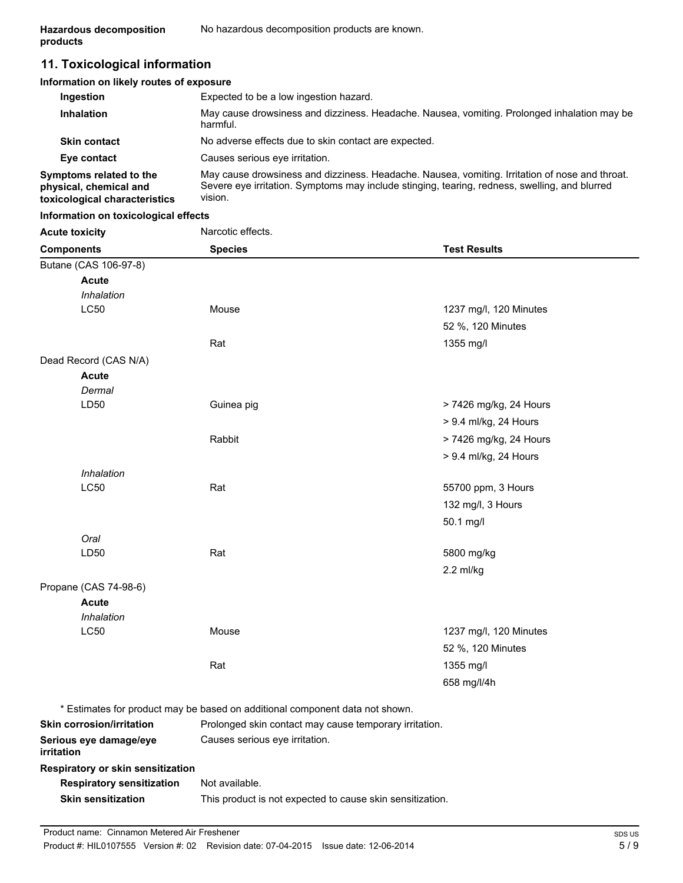## **11. Toxicological information**

| Information on likely routes of exposure                                           |                                                                                                                                                                                                            |
|------------------------------------------------------------------------------------|------------------------------------------------------------------------------------------------------------------------------------------------------------------------------------------------------------|
| Ingestion                                                                          | Expected to be a low ingestion hazard.                                                                                                                                                                     |
| <b>Inhalation</b>                                                                  | May cause drowsiness and dizziness. Headache. Nausea, vomiting. Prolonged inhalation may be<br>harmful.                                                                                                    |
| <b>Skin contact</b>                                                                | No adverse effects due to skin contact are expected.                                                                                                                                                       |
| Eye contact                                                                        | Causes serious eve irritation.                                                                                                                                                                             |
| Symptoms related to the<br>physical, chemical and<br>toxicological characteristics | May cause drowsiness and dizziness. Headache. Nausea, vomiting. Irritation of nose and throat.<br>Severe eye irritation. Symptoms may include stinging, tearing, redness, swelling, and blurred<br>vision. |

### **Information on toxicological effects**

| <b>Acute toxicity</b>             | Narcotic effects.                                                            |                                                        |  |
|-----------------------------------|------------------------------------------------------------------------------|--------------------------------------------------------|--|
| <b>Components</b>                 | <b>Species</b>                                                               | <b>Test Results</b>                                    |  |
| Butane (CAS 106-97-8)             |                                                                              |                                                        |  |
| <b>Acute</b>                      |                                                                              |                                                        |  |
| Inhalation                        |                                                                              |                                                        |  |
| LC50                              | Mouse                                                                        | 1237 mg/l, 120 Minutes                                 |  |
|                                   |                                                                              | 52 %, 120 Minutes                                      |  |
|                                   | Rat                                                                          | 1355 mg/l                                              |  |
| Dead Record (CAS N/A)             |                                                                              |                                                        |  |
| <b>Acute</b>                      |                                                                              |                                                        |  |
| Dermal                            |                                                                              |                                                        |  |
| LD <sub>50</sub>                  | Guinea pig                                                                   | > 7426 mg/kg, 24 Hours                                 |  |
|                                   |                                                                              | > 9.4 ml/kg, 24 Hours                                  |  |
|                                   | Rabbit                                                                       | > 7426 mg/kg, 24 Hours                                 |  |
|                                   |                                                                              | > 9.4 ml/kg, 24 Hours                                  |  |
| Inhalation                        |                                                                              |                                                        |  |
| <b>LC50</b>                       | Rat                                                                          | 55700 ppm, 3 Hours                                     |  |
|                                   |                                                                              | 132 mg/l, 3 Hours                                      |  |
|                                   |                                                                              | 50.1 mg/l                                              |  |
| Oral                              |                                                                              |                                                        |  |
| LD <sub>50</sub>                  | Rat                                                                          | 5800 mg/kg                                             |  |
|                                   |                                                                              | $2.2$ ml/kg                                            |  |
| Propane (CAS 74-98-6)             |                                                                              |                                                        |  |
| <b>Acute</b>                      |                                                                              |                                                        |  |
| Inhalation                        |                                                                              |                                                        |  |
| LC50                              | Mouse                                                                        | 1237 mg/l, 120 Minutes                                 |  |
|                                   |                                                                              | 52 %, 120 Minutes                                      |  |
|                                   | Rat                                                                          | 1355 mg/l                                              |  |
|                                   |                                                                              | 658 mg/l/4h                                            |  |
|                                   |                                                                              |                                                        |  |
| <b>Skin corrosion/irritation</b>  | * Estimates for product may be based on additional component data not shown. |                                                        |  |
| Serious eye damage/eye            | Causes serious eye irritation.                                               | Prolonged skin contact may cause temporary irritation. |  |
| irritation                        |                                                                              |                                                        |  |
| Respiratory or skin sensitization |                                                                              |                                                        |  |
| <b>Respiratory sensitization</b>  | Not available.                                                               |                                                        |  |
| <b>Skin sensitization</b>         | This product is not expected to cause skin sensitization.                    |                                                        |  |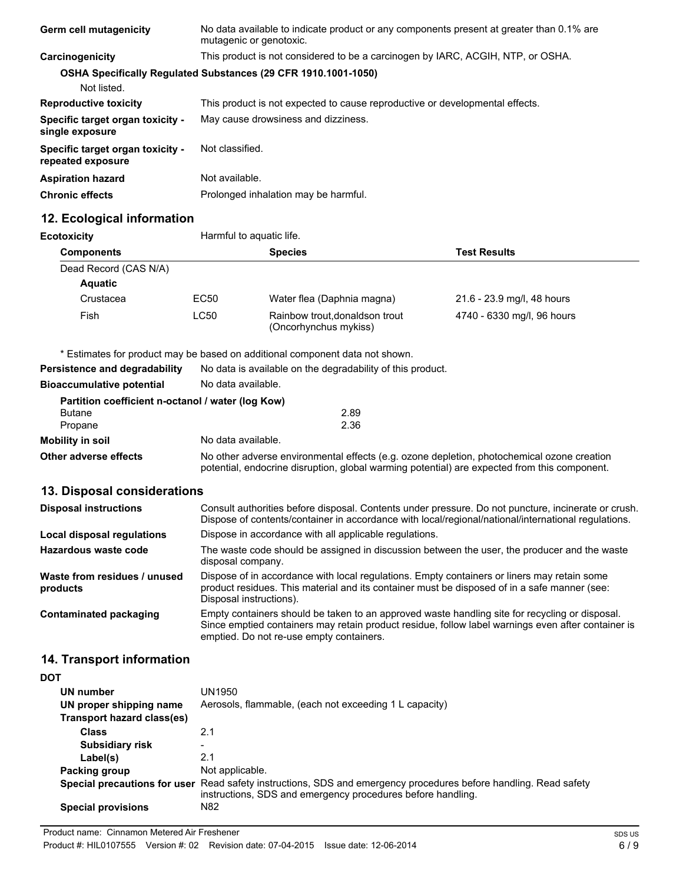| <b>Germ cell mutagenicity</b>                         | No data available to indicate product or any components present at greater than 0.1% are<br>mutagenic or genotoxic. |
|-------------------------------------------------------|---------------------------------------------------------------------------------------------------------------------|
| Carcinogenicity                                       | This product is not considered to be a carcinogen by IARC, ACGIH, NTP, or OSHA.                                     |
|                                                       | <b>OSHA Specifically Requiated Substances (29 CFR 1910.1001-1050)</b>                                               |
| Not listed.                                           |                                                                                                                     |
| <b>Reproductive toxicity</b>                          | This product is not expected to cause reproductive or developmental effects.                                        |
| Specific target organ toxicity -<br>single exposure   | May cause drowsiness and dizziness.                                                                                 |
| Specific target organ toxicity -<br>repeated exposure | Not classified.                                                                                                     |
| <b>Aspiration hazard</b>                              | Not available.                                                                                                      |
| <b>Chronic effects</b>                                | Prolonged inhalation may be harmful.                                                                                |

## **12. Ecological information**

| <b>Ecotoxicity</b>                                | Harmful to aquatic life.                                                                                                                                                                   |                                                                                                     |                                                                                                     |
|---------------------------------------------------|--------------------------------------------------------------------------------------------------------------------------------------------------------------------------------------------|-----------------------------------------------------------------------------------------------------|-----------------------------------------------------------------------------------------------------|
| <b>Components</b>                                 |                                                                                                                                                                                            | <b>Species</b>                                                                                      | <b>Test Results</b>                                                                                 |
| Dead Record (CAS N/A)                             |                                                                                                                                                                                            |                                                                                                     |                                                                                                     |
| <b>Aquatic</b>                                    |                                                                                                                                                                                            |                                                                                                     |                                                                                                     |
| Crustacea                                         | EC50                                                                                                                                                                                       | Water flea (Daphnia magna)                                                                          | 21.6 - 23.9 mg/l, 48 hours                                                                          |
| Fish                                              | <b>LC50</b>                                                                                                                                                                                | Rainbow trout, donaldson trout<br>(Oncorhynchus mykiss)                                             | 4740 - 6330 mg/l, 96 hours                                                                          |
|                                                   |                                                                                                                                                                                            | * Estimates for product may be based on additional component data not shown.                        |                                                                                                     |
| Persistence and degradability                     | No data is available on the degradability of this product.                                                                                                                                 |                                                                                                     |                                                                                                     |
| <b>Bioaccumulative potential</b>                  | No data available.                                                                                                                                                                         |                                                                                                     |                                                                                                     |
| Partition coefficient n-octanol / water (log Kow) |                                                                                                                                                                                            |                                                                                                     |                                                                                                     |
| <b>Butane</b>                                     |                                                                                                                                                                                            | 2.89                                                                                                |                                                                                                     |
| Propane                                           |                                                                                                                                                                                            | 2.36                                                                                                |                                                                                                     |
| <b>Mobility in soil</b>                           | No data available.                                                                                                                                                                         |                                                                                                     |                                                                                                     |
| Other adverse effects                             | No other adverse environmental effects (e.g. ozone depletion, photochemical ozone creation<br>potential, endocrine disruption, global warming potential) are expected from this component. |                                                                                                     |                                                                                                     |
| 13. Disposal considerations                       |                                                                                                                                                                                            |                                                                                                     |                                                                                                     |
| <b>Disposal instructions</b>                      |                                                                                                                                                                                            | Dispose of contents/container in accordance with local/regional/national/international regulations. | Consult authorities before disposal. Contents under pressure. Do not puncture, incinerate or crush. |
| Local disposal regulations                        |                                                                                                                                                                                            | Dispose in accordance with all applicable regulations.                                              |                                                                                                     |
| Hazardous waste code                              |                                                                                                                                                                                            | The waste code should be assigned in discussion between the user, the producer and the waste        |                                                                                                     |

|                                          | disposal company.                                                                                                                                                                                                                                |
|------------------------------------------|--------------------------------------------------------------------------------------------------------------------------------------------------------------------------------------------------------------------------------------------------|
| Waste from residues / unused<br>products | Dispose of in accordance with local regulations. Empty containers or liners may retain some<br>product residues. This material and its container must be disposed of in a safe manner (see:<br>Disposal instructions).                           |
| Contaminated packaging                   | Empty containers should be taken to an approved waste handling site for recycling or disposal.<br>Since emptied containers may retain product residue, follow label warnings even after container is<br>emptied. Do not re-use empty containers. |

## **14. Transport information**

| I<br>۰.<br>w |
|--------------|
|--------------|

| UN number<br>UN proper shipping name<br>Transport hazard class(es) | UN1950<br>Aerosols, flammable, (each not exceeding 1 L capacity)                                                                                   |
|--------------------------------------------------------------------|----------------------------------------------------------------------------------------------------------------------------------------------------|
| <b>Class</b>                                                       | 2.1                                                                                                                                                |
| <b>Subsidiary risk</b>                                             |                                                                                                                                                    |
| Label(s)                                                           | 2.1                                                                                                                                                |
| Packing group                                                      | Not applicable.                                                                                                                                    |
| Special precautions for user                                       | Read safety instructions, SDS and emergency procedures before handling. Read safety<br>instructions, SDS and emergency procedures before handling. |
| <b>Special provisions</b>                                          | N82                                                                                                                                                |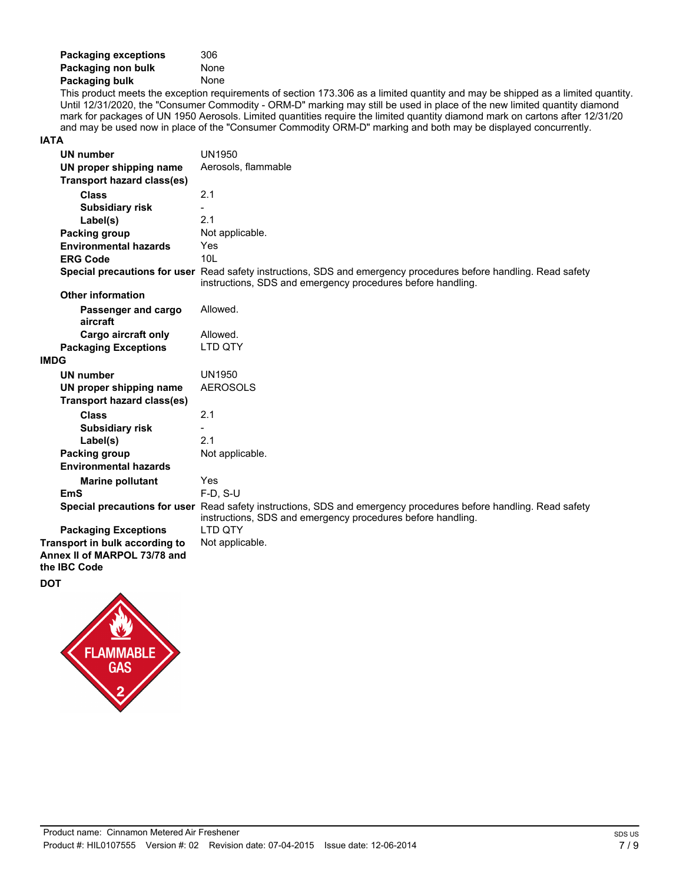| <b>Packaging exceptions</b> | 306  |
|-----------------------------|------|
| Packaging non bulk          | None |
| Packaging bulk              | None |

This product meets the exception requirements of section 173.306 as a limited quantity and may be shipped as a limited quantity. Until 12/31/2020, the "Consumer Commodity - ORM-D" marking may still be used in place of the new limited quantity diamond mark for packages of UN 1950 Aerosols. Limited quantities require the limited quantity diamond mark on cartons after 12/31/20 and may be used now in place of the "Consumer Commodity ORM-D" marking and both may be displayed concurrently.

### **IATA**

| <b>UN number</b>                                                               | <b>UN1950</b>                                                                                                                                                                   |
|--------------------------------------------------------------------------------|---------------------------------------------------------------------------------------------------------------------------------------------------------------------------------|
| UN proper shipping name                                                        | Aerosols, flammable                                                                                                                                                             |
| <b>Transport hazard class(es)</b>                                              |                                                                                                                                                                                 |
| <b>Class</b>                                                                   | 2.1                                                                                                                                                                             |
| <b>Subsidiary risk</b>                                                         |                                                                                                                                                                                 |
| Label(s)                                                                       | 2.1                                                                                                                                                                             |
| Packing group                                                                  | Not applicable.                                                                                                                                                                 |
| <b>Environmental hazards</b>                                                   | Yes                                                                                                                                                                             |
| <b>ERG Code</b>                                                                | 10 <sub>L</sub>                                                                                                                                                                 |
|                                                                                | Special precautions for user Read safety instructions, SDS and emergency procedures before handling. Read safety<br>instructions, SDS and emergency procedures before handling. |
| <b>Other information</b>                                                       |                                                                                                                                                                                 |
| Passenger and cargo<br>aircraft                                                | Allowed.                                                                                                                                                                        |
| <b>Cargo aircraft only</b>                                                     | Allowed.                                                                                                                                                                        |
| <b>Packaging Exceptions</b>                                                    | LTD QTY                                                                                                                                                                         |
| <b>IMDG</b>                                                                    |                                                                                                                                                                                 |
| <b>UN number</b>                                                               | <b>UN1950</b>                                                                                                                                                                   |
| UN proper shipping name                                                        | <b>AEROSOLS</b>                                                                                                                                                                 |
| <b>Transport hazard class(es)</b>                                              |                                                                                                                                                                                 |
| <b>Class</b>                                                                   | 2.1                                                                                                                                                                             |
| <b>Subsidiary risk</b>                                                         | $\overline{\phantom{0}}$                                                                                                                                                        |
| Label(s)                                                                       | 2.1                                                                                                                                                                             |
| Packing group                                                                  | Not applicable.                                                                                                                                                                 |
| <b>Environmental hazards</b>                                                   |                                                                                                                                                                                 |
| <b>Marine pollutant</b>                                                        | <b>Yes</b>                                                                                                                                                                      |
| <b>EmS</b>                                                                     | $F-D, S-U$                                                                                                                                                                      |
|                                                                                | Special precautions for user Read safety instructions, SDS and emergency procedures before handling. Read safety<br>instructions, SDS and emergency procedures before handling. |
| <b>Packaging Exceptions</b>                                                    | <b>LTD OTY</b>                                                                                                                                                                  |
| Transport in bulk according to<br>Annex II of MARPOL 73/78 and<br>the IBC Code | Not applicable.                                                                                                                                                                 |
| <b>DOT</b>                                                                     |                                                                                                                                                                                 |

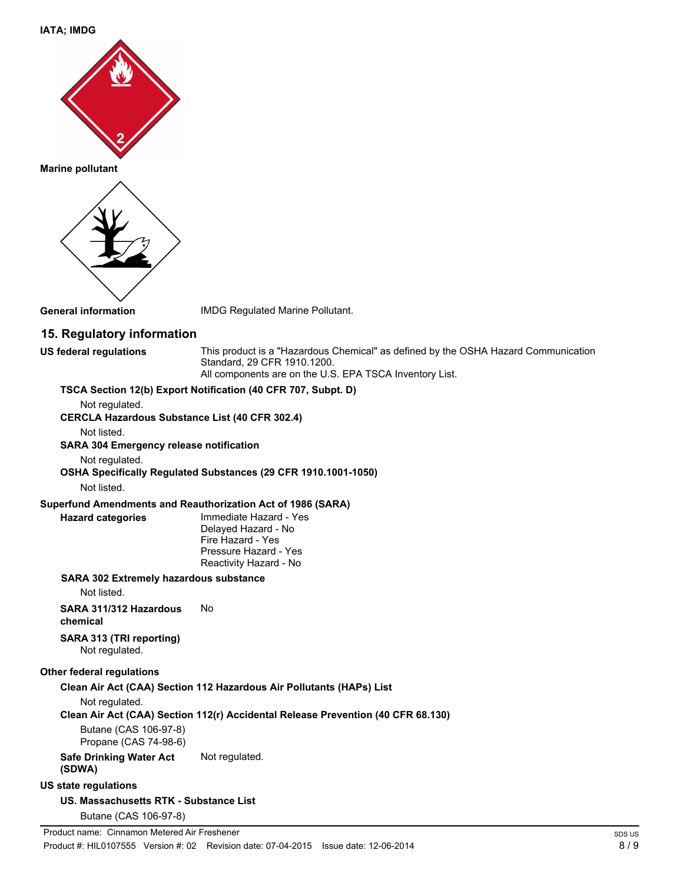**IATA; IMDG**



**Marine pollutant**



**General information** IMDG Regulated Marine Pollutant.

### **15. Regulatory information**

**US federal regulations** This product is a "Hazardous Chemical" as defined by the OSHA Hazard Communication Standard, 29 CFR 1910.1200. All components are on the U.S. EPA TSCA Inventory List.

### **TSCA Section 12(b) Export Notification (40 CFR 707, Subpt. D)**

Not regulated.

**CERCLA Hazardous Substance List (40 CFR 302.4)**

Not listed.

**SARA 304 Emergency release notification**

Not regulated.

**OSHA Specifically Regulated Substances (29 CFR 1910.1001-1050)**

Not listed.

### **Superfund Amendments and Reauthorization Act of 1986 (SARA)**

**Hazard categories** Immediate Hazard - Yes Delayed Hazard - No Fire Hazard - Yes Pressure Hazard - Yes Reactivity Hazard - No

### **SARA 302 Extremely hazardous substance**

Not listed.

**SARA 311/312 Hazardous chemical** No

**SARA 313 (TRI reporting)** Not regulated.

### **Other federal regulations**

### **Clean Air Act (CAA) Section 112 Hazardous Air Pollutants (HAPs) List**

Not regulated.

### **Clean Air Act (CAA) Section 112(r) Accidental Release Prevention (40 CFR 68.130)**

Butane (CAS 106-97-8)

Propane (CAS 74-98-6)

### **Safe Drinking Water Act (SDWA)** Not regulated.

### **US state regulations**

**US. Massachusetts RTK - Substance List** Butane (CAS 106-97-8)